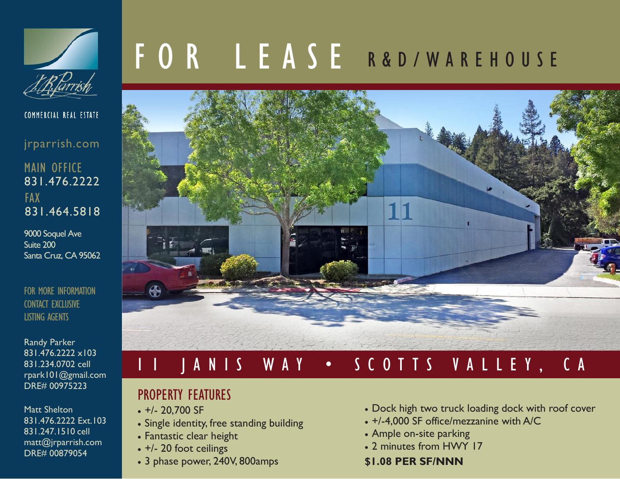

COMMERCIAL REAL ESTATE

jrparrish.com

MAIN OFFICE 831.476.2222 FAX 831.464.5818

9000 Soquel Ave Suite 200 Santa Cruz, CA 95062

FOR MORE INFORMATION CONTACT EXCLUSIVE LISTING AGENTS

Randy Parker 831.476.2222 x103 831.234.0702 cell rpark101@gmail.com DRE# 00975223

Matt Shelton 831.476.2222 Ext.103 831.247.1510 cell matt@jrparrish.com DRE# 00879054

# F O R L E A S E R & D / W A R E H O U S E



## 1 1 J A N I S W A Y • S C O T T S V A L L E Y , C A

#### PROPERTY FEATURES

- $+/- 20,700$  SF
- Single identity, free standing building
- Fantastic clear height
- +/- 20 foot ceilings
- 3 phase power, 240V, 800amps
- Dock high two truck loading dock with roof cover
- +/-4,000 SF office/mezzanine with A/C
- Ample on-site parking
- 2 minutes from HWY 17

#### **\$1.08 PER SF/NNN**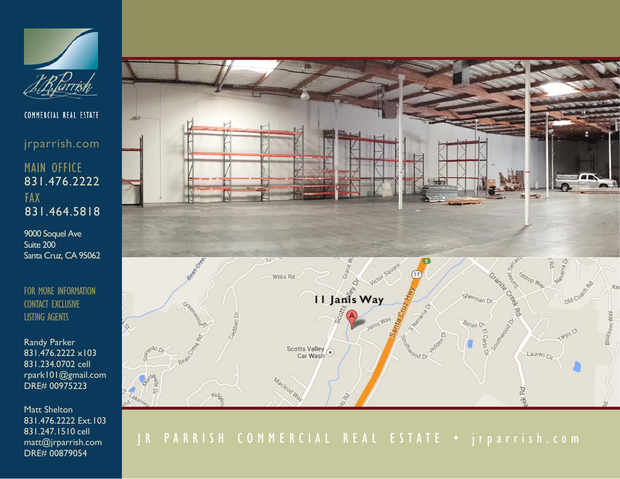

COMMERCIAL REAL ESTATE

jrparrish.com

#### MAIN OFFICE 831.476.2222 FAX 831.464.5818

9000 Soquel Ave Suite 200 Santa Cruz, CA 95062

FOR MORE INFORMATION CONTACT EXCLUSIVE LISTING AGENTS

Randy Parker 831.476.2222 x103 831.234.0702 cell rpark101@gmail.com DRE# 00975223

Matt Shelton 831.476.2222 Ext.103 831.247.1510 cell matt@jrparrish.com DRE# 00879054



### J R P A R R I S H C O M M E R C I A L R E A L E S T A T E · j r p a r r i s h . c o m